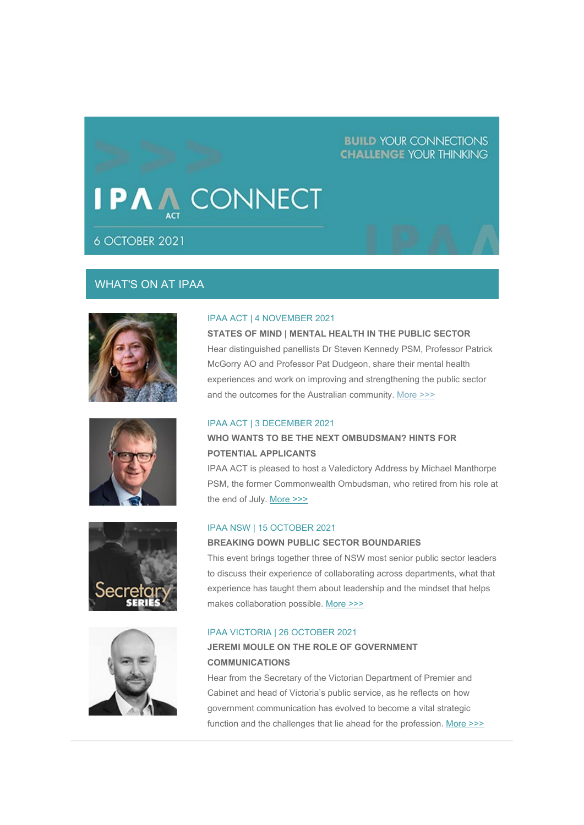# **BUILD YOUR CONNECTIONS CHALLENGE YOUR THINKING**



6 OCTOBER 2021

### WHAT'S ON AT IPAA









#### IPAA ACT | 4 NOVEMBER 2021

**STATES OF MIND | MENTAL HEALTH IN THE PUBLIC SECTOR** Hear distinguished panellists Dr Steven Kennedy PSM, Professor Patrick McGorry AO and Professor Pat Dudgeon, share their mental health experiences and work on improving and strengthening the public sector and the outcomes for the Australian community. [More >>>](https://aus01.safelinks.protection.outlook.com/?url=https%3A%2F%2Fipaa.us12.list-manage.com%2Ftrack%2Fclick%3Fu%3Dfb24f2b534c8ee743cb139793%26id%3D002a99447c%26e%3Df01f53c2f2&data=04%7C01%7Csarah.hope%40act.ipaa.org.au%7Ca6d5e1126e4843f3768b08d988433601%7C988ae5fe7f854c17afb1bc28eeec1d16%7C0%7C0%7C637690645032059639%7CUnknown%7CTWFpbGZsb3d8eyJWIjoiMC4wLjAwMDAiLCJQIjoiV2luMzIiLCJBTiI6Ik1haWwiLCJXVCI6Mn0%3D%7C1000&sdata=uZoacpUGg2oI7%2BGTKOtYSCkjxjrtJIL4JMfH2mGfgho%3D&reserved=0)

#### IPAA ACT | 3 DECEMBER 2021

### **WHO WANTS TO BE THE NEXT OMBUDSMAN? HINTS FOR POTENTIAL APPLICANTS**

IPAA ACT is pleased to host a Valedictory Address by Michael Manthorpe PSM, the former Commonwealth Ombudsman, who retired from his role at the end of July. [More >>>](https://aus01.safelinks.protection.outlook.com/?url=https%3A%2F%2Fipaa.us12.list-manage.com%2Ftrack%2Fclick%3Fu%3Dfb24f2b534c8ee743cb139793%26id%3D906803f5fe%26e%3Df01f53c2f2&data=04%7C01%7Csarah.hope%40act.ipaa.org.au%7Ca6d5e1126e4843f3768b08d988433601%7C988ae5fe7f854c17afb1bc28eeec1d16%7C0%7C0%7C637690645032069590%7CUnknown%7CTWFpbGZsb3d8eyJWIjoiMC4wLjAwMDAiLCJQIjoiV2luMzIiLCJBTiI6Ik1haWwiLCJXVCI6Mn0%3D%7C1000&sdata=37%2FCjQWMv9i2TXyUTFv8VvB%2F1g29xEKfzL1IYdP0ZRI%3D&reserved=0)

#### IPAA NSW | 15 OCTOBER 2021

#### **BREAKING DOWN PUBLIC SECTOR BOUNDARIES**

This event brings together three of NSW most senior public sector leaders to discuss their experience of collaborating across departments, what that experience has taught them about leadership and the mindset that helps makes collaboration possible. [More >>>](https://aus01.safelinks.protection.outlook.com/?url=https%3A%2F%2Fipaa.us12.list-manage.com%2Ftrack%2Fclick%3Fu%3Dfb24f2b534c8ee743cb139793%26id%3D3f1bdf3b11%26e%3Df01f53c2f2&data=04%7C01%7Csarah.hope%40act.ipaa.org.au%7Ca6d5e1126e4843f3768b08d988433601%7C988ae5fe7f854c17afb1bc28eeec1d16%7C0%7C0%7C637690645032069590%7CUnknown%7CTWFpbGZsb3d8eyJWIjoiMC4wLjAwMDAiLCJQIjoiV2luMzIiLCJBTiI6Ik1haWwiLCJXVCI6Mn0%3D%7C1000&sdata=%2B689UjcAPaJAaLxqsEngxjP5Oh7508MbiFxy5RygiKE%3D&reserved=0)

#### IPAA VICTORIA | 26 OCTOBER 2021

### **JEREMI MOULE ON THE ROLE OF GOVERNMENT COMMUNICATIONS**

Hear from the Secretary of the Victorian Department of Premier and Cabinet and head of Victoria's public service, as he reflects on how government communication has evolved to become a vital strategic function and the challenges that lie ahead for the profession. [More >>>](https://aus01.safelinks.protection.outlook.com/?url=https%3A%2F%2Fipaa.us12.list-manage.com%2Ftrack%2Fclick%3Fu%3Dfb24f2b534c8ee743cb139793%26id%3D626f1919d5%26e%3Df01f53c2f2&data=04%7C01%7Csarah.hope%40act.ipaa.org.au%7Ca6d5e1126e4843f3768b08d988433601%7C988ae5fe7f854c17afb1bc28eeec1d16%7C0%7C0%7C637690645032079542%7CUnknown%7CTWFpbGZsb3d8eyJWIjoiMC4wLjAwMDAiLCJQIjoiV2luMzIiLCJBTiI6Ik1haWwiLCJXVCI6Mn0%3D%7C1000&sdata=RAFQxUpeU9c7yghACGXQEL02olav%2FowhmccT%2F6ehD0w%3D&reserved=0)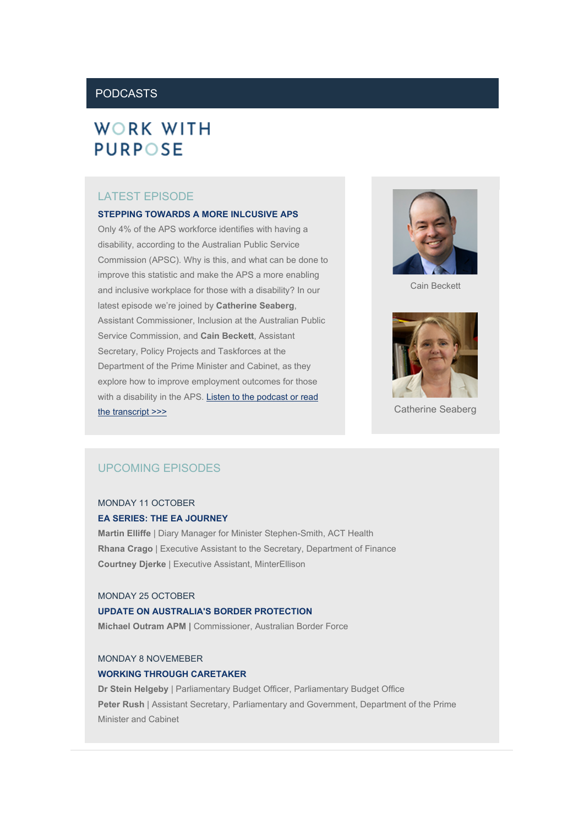# **PODCASTS**

# **WORK WITH PURPOSE**

### LATEST EPISODE

#### **STEPPING TOWARDS A MORE INLCUSIVE APS**

Only 4% of the APS workforce identifies with having a disability, according to the Australian Public Service Commission (APSC). Why is this, and what can be done to improve this statistic and make the APS a more enabling and inclusive workplace for those with a disability? In our latest episode we're joined by **Catherine Seaberg**, Assistant Commissioner, Inclusion at the Australian Public Service Commission, and **Cain Beckett**, Assistant Secretary, Policy Projects and Taskforces at the Department of the Prime Minister and Cabinet, as they explore how to improve employment outcomes for those with a disability in the APS. [Listen to the podcast or read](https://aus01.safelinks.protection.outlook.com/?url=https%3A%2F%2Fipaa.us12.list-manage.com%2Ftrack%2Fclick%3Fu%3Dfb24f2b534c8ee743cb139793%26id%3D4a5da602de%26e%3Df01f53c2f2&data=04%7C01%7Csarah.hope%40act.ipaa.org.au%7Ca6d5e1126e4843f3768b08d988433601%7C988ae5fe7f854c17afb1bc28eeec1d16%7C0%7C0%7C637690645032079542%7CUnknown%7CTWFpbGZsb3d8eyJWIjoiMC4wLjAwMDAiLCJQIjoiV2luMzIiLCJBTiI6Ik1haWwiLCJXVCI6Mn0%3D%7C1000&sdata=UjrMwsYH9%2Fln%2FO0WckbDqHJTwy3zT77MPcg%2Fs7l2U44%3D&reserved=0)  [the transcript](https://aus01.safelinks.protection.outlook.com/?url=https%3A%2F%2Fipaa.us12.list-manage.com%2Ftrack%2Fclick%3Fu%3Dfb24f2b534c8ee743cb139793%26id%3D4a5da602de%26e%3Df01f53c2f2&data=04%7C01%7Csarah.hope%40act.ipaa.org.au%7Ca6d5e1126e4843f3768b08d988433601%7C988ae5fe7f854c17afb1bc28eeec1d16%7C0%7C0%7C637690645032079542%7CUnknown%7CTWFpbGZsb3d8eyJWIjoiMC4wLjAwMDAiLCJQIjoiV2luMzIiLCJBTiI6Ik1haWwiLCJXVCI6Mn0%3D%7C1000&sdata=UjrMwsYH9%2Fln%2FO0WckbDqHJTwy3zT77MPcg%2Fs7l2U44%3D&reserved=0) >>>



Cain Beckett



Catherine Seaberg

# UPCOMING EPISODES

### MONDAY 11 OCTOBER **EA SERIES: THE EA JOURNEY**

**Martin Elliffe** | Diary Manager for Minister Stephen-Smith, ACT Health **Rhana Crago** | Executive Assistant to the Secretary, Department of Finance **Courtney Djerke** | Executive Assistant, MinterEllison

#### MONDAY 25 OCTOBER

#### **UPDATE ON AUSTRALIA'S BORDER PROTECTION**

**Michael Outram APM |** Commissioner, Australian Border Force

#### MONDAY 8 NOVEMEBER

#### **WORKING THROUGH CARETAKER**

**Dr Stein Helgeby** | Parliamentary Budget Officer, Parliamentary Budget Office **Peter Rush** | Assistant Secretary, Parliamentary and Government, Department of the Prime Minister and Cabinet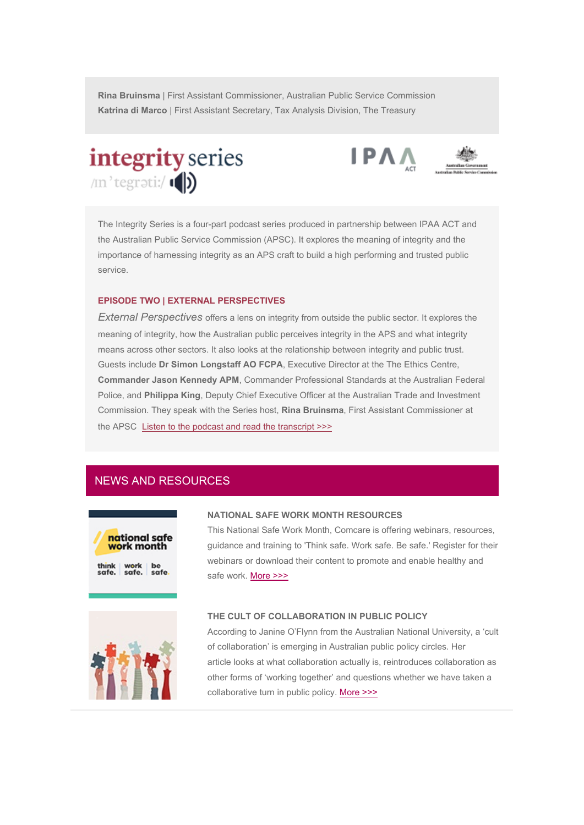**Rina Bruinsma** | First Assistant Commissioner, Australian Public Service Commission **Katrina di Marco** | First Assistant Secretary, Tax Analysis Division, The Treasury





The Integrity Series is a four-part podcast series produced in partnership between IPAA ACT and the Australian Public Service Commission (APSC). It explores the meaning of integrity and the importance of harnessing integrity as an APS craft to build a high performing and trusted public service.

#### **EPISODE TWO | EXTERNAL PERSPECTIVES**

*External Perspectives* offers a lens on integrity from outside the public sector. It explores the meaning of integrity, how the Australian public perceives integrity in the APS and what integrity means across other sectors. It also looks at the relationship between integrity and public trust. Guests include **Dr Simon Longstaff AO FCPA**, Executive Director at the The Ethics Centre, **Commander Jason Kennedy APM**, Commander Professional Standards at the Australian Federal Police, and **Philippa King**, Deputy Chief Executive Officer at the Australian Trade and Investment Commission. They speak with the Series host, **Rina Bruinsma**, First Assistant Commissioner at the APSC. [Listen to the podcast and read the transcript >>>](https://aus01.safelinks.protection.outlook.com/?url=https%3A%2F%2Fipaa.us12.list-manage.com%2Ftrack%2Fclick%3Fu%3Dfb24f2b534c8ee743cb139793%26id%3D950c5ca741%26e%3Df01f53c2f2&data=04%7C01%7Csarah.hope%40act.ipaa.org.au%7Ca6d5e1126e4843f3768b08d988433601%7C988ae5fe7f854c17afb1bc28eeec1d16%7C0%7C0%7C637690645032089513%7CUnknown%7CTWFpbGZsb3d8eyJWIjoiMC4wLjAwMDAiLCJQIjoiV2luMzIiLCJBTiI6Ik1haWwiLCJXVCI6Mn0%3D%7C1000&sdata=jKkU8g1kcRyPXC%2BzE8jPxu0xUTfmvMFmH2%2FdeRW6%2F3Q%3D&reserved=0)

### NEWS AND RESOURCES



#### **NATIONAL SAFE WORK MONTH RESOURCES**

This National Safe Work Month, Comcare is offering webinars, resources, guidance and training to 'Think safe. Work safe. Be safe.' Register for their webinars or download their content to promote and enable healthy and safe work. [More >>>](https://aus01.safelinks.protection.outlook.com/?url=https%3A%2F%2Fipaa.us12.list-manage.com%2Ftrack%2Fclick%3Fu%3Dfb24f2b534c8ee743cb139793%26id%3D9d8ef38a50%26e%3Df01f53c2f2&data=04%7C01%7Csarah.hope%40act.ipaa.org.au%7Ca6d5e1126e4843f3768b08d988433601%7C988ae5fe7f854c17afb1bc28eeec1d16%7C0%7C0%7C637690645032089513%7CUnknown%7CTWFpbGZsb3d8eyJWIjoiMC4wLjAwMDAiLCJQIjoiV2luMzIiLCJBTiI6Ik1haWwiLCJXVCI6Mn0%3D%7C1000&sdata=SOz8ckyF5V4f731B5i%2FWqlmfLzp2dJJVrqkAU%2BdDChw%3D&reserved=0)



#### **THE CULT OF COLLABORATION IN PUBLIC POLICY**

According to Janine O'Flynn from the Australian National University, a 'cult of collaboration' is emerging in Australian public policy circles. Her article looks at what collaboration actually is, reintroduces collaboration as other forms of 'working together' and questions whether we have taken a collaborative turn in public policy. [More >>>](https://aus01.safelinks.protection.outlook.com/?url=https%3A%2F%2Fipaa.us12.list-manage.com%2Ftrack%2Fclick%3Fu%3Dfb24f2b534c8ee743cb139793%26id%3D693eeea0be%26e%3Df01f53c2f2&data=04%7C01%7Csarah.hope%40act.ipaa.org.au%7Ca6d5e1126e4843f3768b08d988433601%7C988ae5fe7f854c17afb1bc28eeec1d16%7C0%7C0%7C637690645032099459%7CUnknown%7CTWFpbGZsb3d8eyJWIjoiMC4wLjAwMDAiLCJQIjoiV2luMzIiLCJBTiI6Ik1haWwiLCJXVCI6Mn0%3D%7C1000&sdata=yYBMw%2FuEPPRmh3iHC8Cj5%2FyYRn%2Fq%2FDe0Mos0ky2mcfg%3D&reserved=0)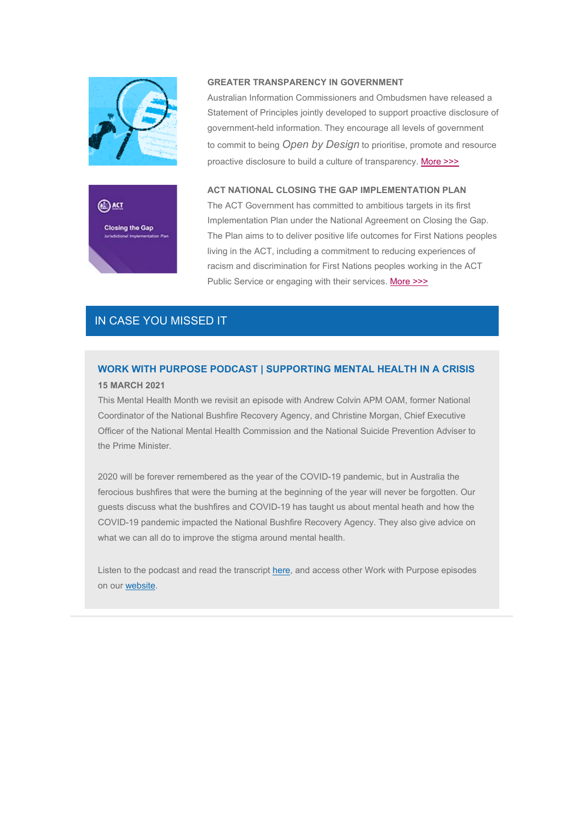



#### **GREATER TRANSPARENCY IN GOVERNMENT**

Australian Information Commissioners and Ombudsmen have released a Statement of Principles jointly developed to support proactive disclosure of government-held information. They encourage all levels of government to commit to being *Open by Design* to prioritise, promote and resource proactive disclosure to build a culture of transparency. [More >>>](https://aus01.safelinks.protection.outlook.com/?url=https%3A%2F%2Fipaa.us12.list-manage.com%2Ftrack%2Fclick%3Fu%3Dfb24f2b534c8ee743cb139793%26id%3Dacc708fa32%26e%3Df01f53c2f2&data=04%7C01%7Csarah.hope%40act.ipaa.org.au%7Ca6d5e1126e4843f3768b08d988433601%7C988ae5fe7f854c17afb1bc28eeec1d16%7C0%7C0%7C637690645032099459%7CUnknown%7CTWFpbGZsb3d8eyJWIjoiMC4wLjAwMDAiLCJQIjoiV2luMzIiLCJBTiI6Ik1haWwiLCJXVCI6Mn0%3D%7C1000&sdata=ICnLvAkqIGaxqUUihWsoG1%2Fwsb86SMBdheTMgWMLxcQ%3D&reserved=0)

#### **ACT NATIONAL CLOSING THE GAP IMPLEMENTATION PLAN**

The ACT Government has committed to ambitious targets in its first Implementation Plan under the National Agreement on Closing the Gap. The Plan aims to to deliver positive life outcomes for First Nations peoples living in the ACT, including a commitment to reducing experiences of racism and discrimination for First Nations peoples working in the ACT Public Service or engaging with their services. [More >>>](https://aus01.safelinks.protection.outlook.com/?url=https%3A%2F%2Fipaa.us12.list-manage.com%2Ftrack%2Fclick%3Fu%3Dfb24f2b534c8ee743cb139793%26id%3D8c3904e8ee%26e%3Df01f53c2f2&data=04%7C01%7Csarah.hope%40act.ipaa.org.au%7Ca6d5e1126e4843f3768b08d988433601%7C988ae5fe7f854c17afb1bc28eeec1d16%7C0%7C0%7C637690645032109417%7CUnknown%7CTWFpbGZsb3d8eyJWIjoiMC4wLjAwMDAiLCJQIjoiV2luMzIiLCJBTiI6Ik1haWwiLCJXVCI6Mn0%3D%7C1000&sdata=Tf%2BudOtF7bcFFm2OyPiTPBFx1MWWvuF%2B1E65oL5U4KI%3D&reserved=0)

# IN CASE YOU MISSED IT

# **WORK WITH PURPOSE PODCAST | SUPPORTING MENTAL HEALTH IN A CRISIS 15 MARCH 2021**

This Mental Health Month we revisit an episode with Andrew Colvin APM OAM, former National Coordinator of the National Bushfire Recovery Agency, and Christine Morgan, Chief Executive Officer of the National Mental Health Commission and the National Suicide Prevention Adviser to the Prime Minister.

2020 will be forever remembered as the year of the COVID-19 pandemic, but in Australia the ferocious bushfires that were the burning at the beginning of the year will never be forgotten. Our guests discuss what the bushfires and COVID-19 has taught us about mental heath and how the COVID-19 pandemic impacted the National Bushfire Recovery Agency. They also give advice on what we can all do to improve the stigma around mental health.

Listen to the podcast and read the transcript [here,](https://aus01.safelinks.protection.outlook.com/?url=https%3A%2F%2Fipaa.us12.list-manage.com%2Ftrack%2Fclick%3Fu%3Dfb24f2b534c8ee743cb139793%26id%3D400bc9b6c5%26e%3Df01f53c2f2&data=04%7C01%7Csarah.hope%40act.ipaa.org.au%7Ca6d5e1126e4843f3768b08d988433601%7C988ae5fe7f854c17afb1bc28eeec1d16%7C0%7C0%7C637690645032109417%7CUnknown%7CTWFpbGZsb3d8eyJWIjoiMC4wLjAwMDAiLCJQIjoiV2luMzIiLCJBTiI6Ik1haWwiLCJXVCI6Mn0%3D%7C1000&sdata=98ErIVa0vImxZe4Ct31Vh7FK2p%2FbLqllkMCXv%2BjOpEM%3D&reserved=0) and access other Work with Purpose episodes on our [website.](https://aus01.safelinks.protection.outlook.com/?url=https%3A%2F%2Fipaa.us12.list-manage.com%2Ftrack%2Fclick%3Fu%3Dfb24f2b534c8ee743cb139793%26id%3De34f676eff%26e%3Df01f53c2f2&data=04%7C01%7Csarah.hope%40act.ipaa.org.au%7Ca6d5e1126e4843f3768b08d988433601%7C988ae5fe7f854c17afb1bc28eeec1d16%7C0%7C0%7C637690645032119372%7CUnknown%7CTWFpbGZsb3d8eyJWIjoiMC4wLjAwMDAiLCJQIjoiV2luMzIiLCJBTiI6Ik1haWwiLCJXVCI6Mn0%3D%7C1000&sdata=vEKXmvj4MJm04IDhtsCvwXzXiqrCRMSxMKF60%2FJipfs%3D&reserved=0)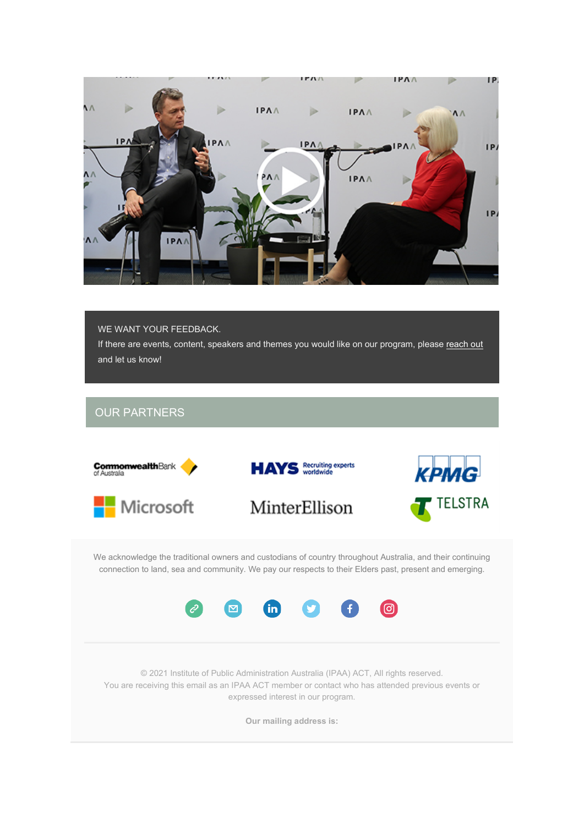

WE WANT YOUR FEEDBACK.

If there are events, content, speakers and themes you would like on our program, please [reach out](mailto:admin@act.ipaa.org.au) and let us know!

# OUR PARTNERS



We acknowledge the traditional owners and custodians of country throughout Australia, and their continuing connection to land, sea and community. We pay our respects to their Elders past, present and emerging.



© 2021 Institute of Public Administration Australia (IPAA) ACT, All rights reserved. You are receiving this email as an IPAA ACT member or contact who has attended previous events or expressed interest in our program.

**Our mailing address is:**